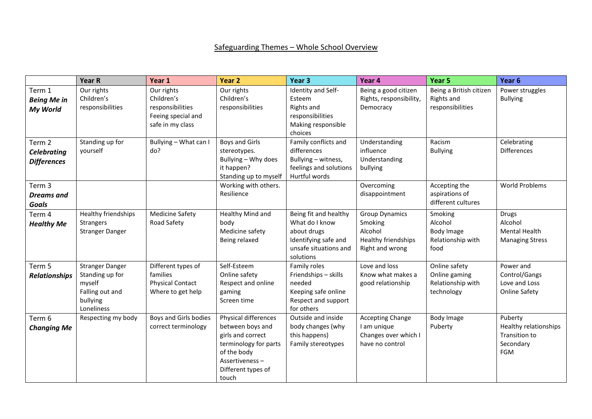## Safeguarding Themes – Whole School Overview

|                                                    | <b>Year R</b>                                                                                    | Year 1                                                                                 | Year 2                                                                                                                                                        | Year <sub>3</sub>                                                                                                    | Year 4                                                                                | Year 5                                                            | Year <sub>6</sub>                                                         |
|----------------------------------------------------|--------------------------------------------------------------------------------------------------|----------------------------------------------------------------------------------------|---------------------------------------------------------------------------------------------------------------------------------------------------------------|----------------------------------------------------------------------------------------------------------------------|---------------------------------------------------------------------------------------|-------------------------------------------------------------------|---------------------------------------------------------------------------|
| Term 1<br><b>Being Me in</b><br>My World           | Our rights<br>Children's<br>responsibilities                                                     | Our rights<br>Children's<br>responsibilities<br>Feeing special and<br>safe in my class | Our rights<br>Children's<br>responsibilities                                                                                                                  | Identity and Self-<br>Esteem<br>Rights and<br>responsibilities<br>Making responsible<br>choices                      | Being a good citizen<br>Rights, responsibility,<br>Democracy                          | Being a British citizen<br>Rights and<br>responsibilities         | Power struggles<br><b>Bullying</b>                                        |
| Term 2<br><b>Celebrating</b><br><b>Differences</b> | Standing up for<br>yourself                                                                      | Bullying - What can I<br>do?                                                           | <b>Boys and Girls</b><br>stereotypes.<br>Bullying - Why does<br>it happen?<br>Standing up to myself                                                           | Family conflicts and<br>differences<br>Bullying - witness,<br>feelings and solutions<br>Hurtful words                | Understanding<br>influence<br>Understanding<br>bullying                               | Racism<br><b>Bullying</b>                                         | Celebrating<br><b>Differences</b>                                         |
| Term 3<br><b>Dreams</b> and<br><b>Goals</b>        |                                                                                                  |                                                                                        | Working with others.<br>Resilience                                                                                                                            |                                                                                                                      | Overcoming<br>disappointment                                                          | Accepting the<br>aspirations of<br>different cultures             | <b>World Problems</b>                                                     |
| Term 4<br><b>Healthy Me</b>                        | Healthy friendships<br><b>Strangers</b><br><b>Stranger Danger</b>                                | <b>Medicine Safety</b><br>Road Safety                                                  | Healthy Mind and<br>body<br>Medicine safety<br>Being relaxed                                                                                                  | Being fit and healthy<br>What do I know<br>about drugs<br>Identifying safe and<br>unsafe situations and<br>solutions | <b>Group Dynamics</b><br>Smoking<br>Alcohol<br>Healthy friendships<br>Right and wrong | Smoking<br>Alcohol<br>Body Image<br>Relationship with<br>food     | <b>Drugs</b><br>Alcohol<br><b>Mental Health</b><br><b>Managing Stress</b> |
| Term 5<br><b>Relationships</b>                     | <b>Stranger Danger</b><br>Standing up for<br>myself<br>Falling out and<br>bullying<br>Loneliness | Different types of<br>families<br><b>Physical Contact</b><br>Where to get help         | Self-Esteem<br>Online safety<br>Respect and online<br>gaming<br>Screen time                                                                                   | Family roles<br>Friendships - skills<br>needed<br>Keeping safe online<br>Respect and support<br>for others           | Love and loss<br>Know what makes a<br>good relationship                               | Online safety<br>Online gaming<br>Relationship with<br>technology | Power and<br>Control/Gangs<br>Love and Loss<br><b>Online Safety</b>       |
| Term 6<br><b>Changing Me</b>                       | Respecting my body                                                                               | Boys and Girls bodies<br>correct terminology                                           | <b>Physical differences</b><br>between boys and<br>girls and correct<br>terminology for parts<br>of the body<br>Assertiveness-<br>Different types of<br>touch | Outside and inside<br>body changes (why<br>this happens)<br>Family stereotypes                                       | <b>Accepting Change</b><br>I am unique<br>Changes over which I<br>have no control     | Body Image<br>Puberty                                             | Puberty<br>Healthy relationships<br>Transition to<br>Secondary<br>FGM     |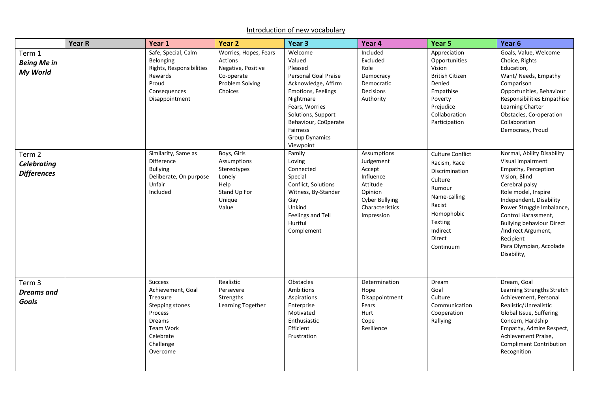## Introduction of new vocabulary

|                                                    | Year R | Year 1                                                                                                                                            | Year 2                                                                                             | Year <sub>3</sub>                                                                                                                                                                                 | Year 4                                                                                                                    | Year 5                                                                                                                                                               | Year <sub>6</sub>                                                                                                                                                                                                                                                                                                                 |
|----------------------------------------------------|--------|---------------------------------------------------------------------------------------------------------------------------------------------------|----------------------------------------------------------------------------------------------------|---------------------------------------------------------------------------------------------------------------------------------------------------------------------------------------------------|---------------------------------------------------------------------------------------------------------------------------|----------------------------------------------------------------------------------------------------------------------------------------------------------------------|-----------------------------------------------------------------------------------------------------------------------------------------------------------------------------------------------------------------------------------------------------------------------------------------------------------------------------------|
| Term 1<br><b>Being Me in</b><br>My World           |        | Safe, Special, Calm<br>Belonging<br>Rights, Responsibilities<br>Rewards<br>Proud<br>Consequences<br>Disappointment                                | Worries, Hopes, Fears<br>Actions<br>Negative, Positive<br>Co-operate<br>Problem Solving<br>Choices | Welcome<br>Valued<br>Pleased<br>Personal Goal Praise<br>Acknowledge, Affirm<br>Emotions, Feelings<br>Nightmare<br>Fears, Worries<br>Solutions, Support<br>Behaviour, CoOperate<br><b>Fairness</b> | Included<br>Excluded<br>Role<br>Democracy<br>Democratic<br>Decisions<br>Authority                                         | Appreciation<br>Opportunities<br>Vision<br><b>British Citizen</b><br>Denied<br>Empathise<br>Poverty<br>Prejudice<br>Collaboration<br>Participation                   | Goals, Value, Welcome<br>Choice, Rights<br>Education,<br>Want/ Needs, Empathy<br>Comparison<br>Opportunities, Behaviour<br>Responsibilities Empathise<br>Learning Charter<br>Obstacles, Co-operation<br>Collaboration<br>Democracy, Proud                                                                                         |
| Term 2<br><b>Celebrating</b><br><b>Differences</b> |        | Similarity, Same as<br>Difference<br><b>Bullying</b><br>Deliberate, On purpose<br>Unfair<br>Included                                              | Boys, Girls<br>Assumptions<br>Stereotypes<br>Lonely<br>Help<br>Stand Up For<br>Unique<br>Value     | <b>Group Dynamics</b><br>Viewpoint<br>Family<br>Loving<br>Connected<br>Special<br>Conflict, Solutions<br>Witness, By-Stander<br>Gay<br>Unkind<br>Feelings and Tell<br>Hurtful<br>Complement       | Assumptions<br>Judgement<br>Accept<br>Influence<br>Attitude<br>Opinion<br>Cyber Bullying<br>Characteristics<br>Impression | <b>Culture Conflict</b><br>Racism, Race<br>Discrimination<br>Culture<br>Rumour<br>Name-calling<br>Racist<br>Homophobic<br>Texting<br>Indirect<br>Direct<br>Continuum | Normal, Ability Disability<br>Visual impairment<br>Empathy, Perception<br>Vision, Blind<br>Cerebral palsy<br>Role model, Inspire<br>Independent, Disability<br>Power Struggle Imbalance,<br>Control Harassment,<br><b>Bullying behaviour Direct</b><br>/Indirect Argument,<br>Recipient<br>Para Olympian, Accolade<br>Disability, |
| Term 3<br><b>Dreams</b> and<br><b>Goals</b>        |        | <b>Success</b><br>Achievement, Goal<br>Treasure<br>Stepping stones<br>Process<br><b>Dreams</b><br>Team Work<br>Celebrate<br>Challenge<br>Overcome | Realistic<br>Persevere<br>Strengths<br>Learning Together                                           | Obstacles<br>Ambitions<br>Aspirations<br>Enterprise<br>Motivated<br>Enthusiastic<br>Efficient<br>Frustration                                                                                      | Determination<br>Hope<br>Disappointment<br>Fears<br>Hurt<br>Cope<br>Resilience                                            | Dream<br>Goal<br>Culture<br>Communication<br>Cooperation<br>Rallying                                                                                                 | Dream, Goal<br>Learning Strengths Stretch<br>Achievement, Personal<br>Realistic/Unrealistic<br>Global Issue, Suffering<br>Concern, Hardship<br>Empathy, Admire Respect,<br>Achievement Praise,<br><b>Compliment Contribution</b><br>Recognition                                                                                   |